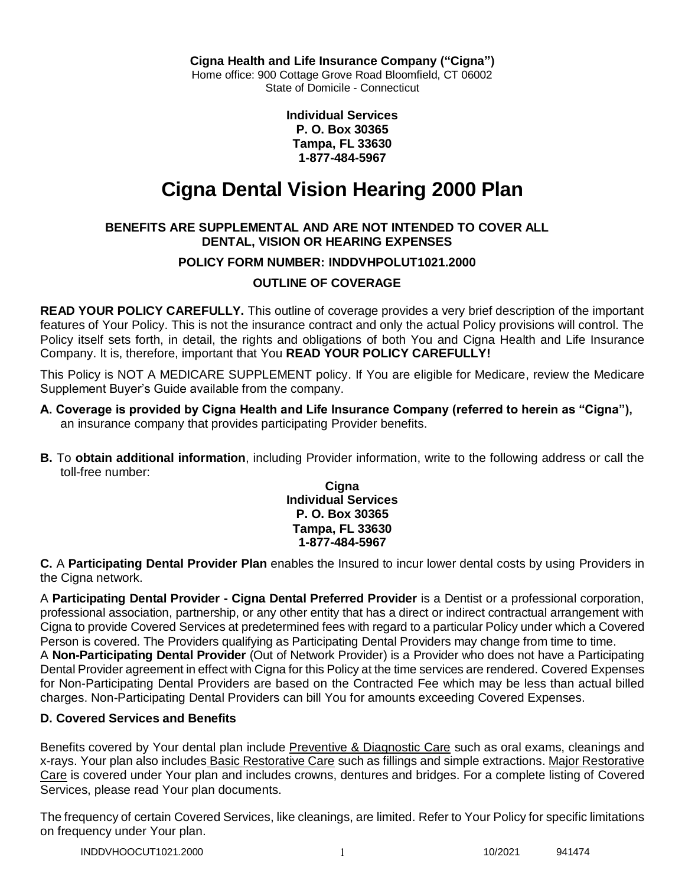**Cigna Health and Life Insurance Company ("Cigna")**

Home office: 900 Cottage Grove Road Bloomfield, CT 06002 State of Domicile - Connecticut

> **Individual Services P. O. Box 30365 Tampa, FL 33630 1-877-484-5967**

# **Cigna Dental Vision Hearing 2000 Plan**

## **BENEFITS ARE SUPPLEMENTAL AND ARE NOT INTENDED TO COVER ALL DENTAL, VISION OR HEARING EXPENSES**

## **POLICY FORM NUMBER: INDDVHPOLUT1021.2000**

# **OUTLINE OF COVERAGE**

**READ YOUR POLICY CAREFULLY.** This outline of coverage provides a very brief description of the important features of Your Policy. This is not the insurance contract and only the actual Policy provisions will control. The Policy itself sets forth, in detail, the rights and obligations of both You and Cigna Health and Life Insurance Company. It is, therefore, important that You **READ YOUR POLICY CAREFULLY!** 

This Policy is NOT A MEDICARE SUPPLEMENT policy. If You are eligible for Medicare, review the Medicare Supplement Buyer's Guide available from the company.

- **A. Coverage is provided by Cigna Health and Life Insurance Company (referred to herein as "Cigna"),**  an insurance company that provides participating Provider benefits.
- **B.** To **obtain additional information**, including Provider information, write to the following address or call the toll-free number:

**Cigna Individual Services P. O. Box 30365 Tampa, FL 33630 1-877-484-5967**

**C.** A **Participating Dental Provider Plan** enables the Insured to incur lower dental costs by using Providers in the Cigna network.

A **Participating Dental Provider - Cigna Dental Preferred Provider** is a Dentist or a professional corporation, professional association, partnership, or any other entity that has a direct or indirect contractual arrangement with Cigna to provide Covered Services at predetermined fees with regard to a particular Policy under which a Covered Person is covered. The Providers qualifying as Participating Dental Providers may change from time to time. A **Non-Participating Dental Provider** (Out of Network Provider) is a Provider who does not have a Participating Dental Provider agreement in effect with Cigna for this Policy at the time services are rendered. Covered Expenses for Non-Participating Dental Providers are based on the Contracted Fee which may be less than actual billed charges. Non-Participating Dental Providers can bill You for amounts exceeding Covered Expenses.

## **D. Covered Services and Benefits**

Benefits covered by Your dental plan include Preventive & Diagnostic Care such as oral exams, cleanings and x-rays. Your plan also includes Basic Restorative Care such as fillings and simple extractions. Major Restorative Care is covered under Your plan and includes crowns, dentures and bridges. For a complete listing of Covered Services, please read Your plan documents.

The frequency of certain Covered Services, like cleanings, are limited. Refer to Your Policy for specific limitations on frequency under Your plan.

INDDVHOOCUT1021.2000 1 10/2021 941474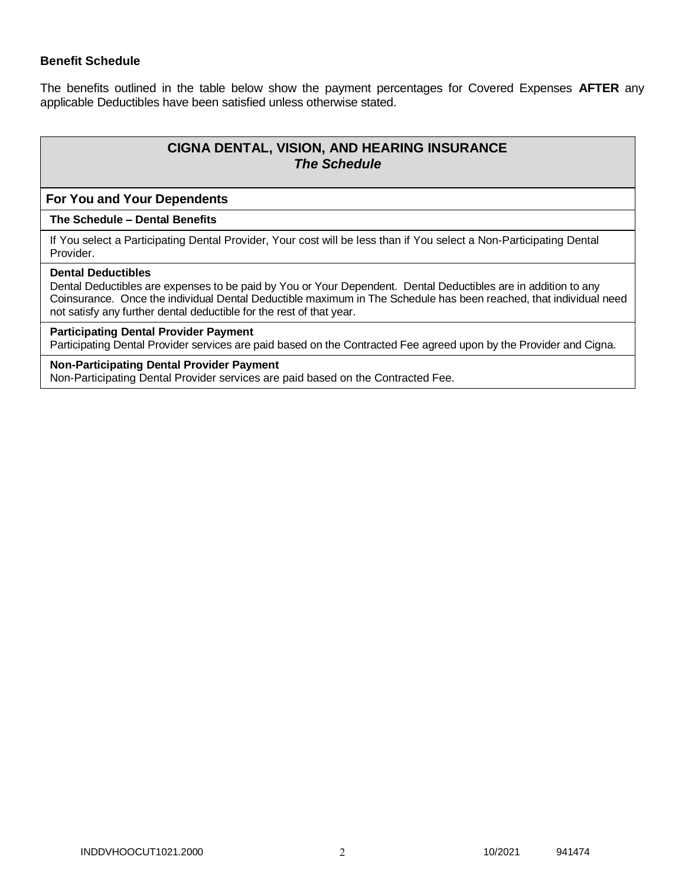## **Benefit Schedule**

The benefits outlined in the table below show the payment percentages for Covered Expenses **AFTER** any applicable Deductibles have been satisfied unless otherwise stated.

# **CIGNA DENTAL, VISION, AND HEARING INSURANCE** *The Schedule*

## **For You and Your Dependents**

### **The Schedule – Dental Benefits**

If You select a Participating Dental Provider, Your cost will be less than if You select a Non-Participating Dental Provider.

## **Dental Deductibles**

Dental Deductibles are expenses to be paid by You or Your Dependent. Dental Deductibles are in addition to any Coinsurance. Once the individual Dental Deductible maximum in The Schedule has been reached, that individual need not satisfy any further dental deductible for the rest of that year.

## **Participating Dental Provider Payment**

Participating Dental Provider services are paid based on the Contracted Fee agreed upon by the Provider and Cigna.

## **Non-Participating Dental Provider Payment**

Non-Participating Dental Provider services are paid based on the Contracted Fee.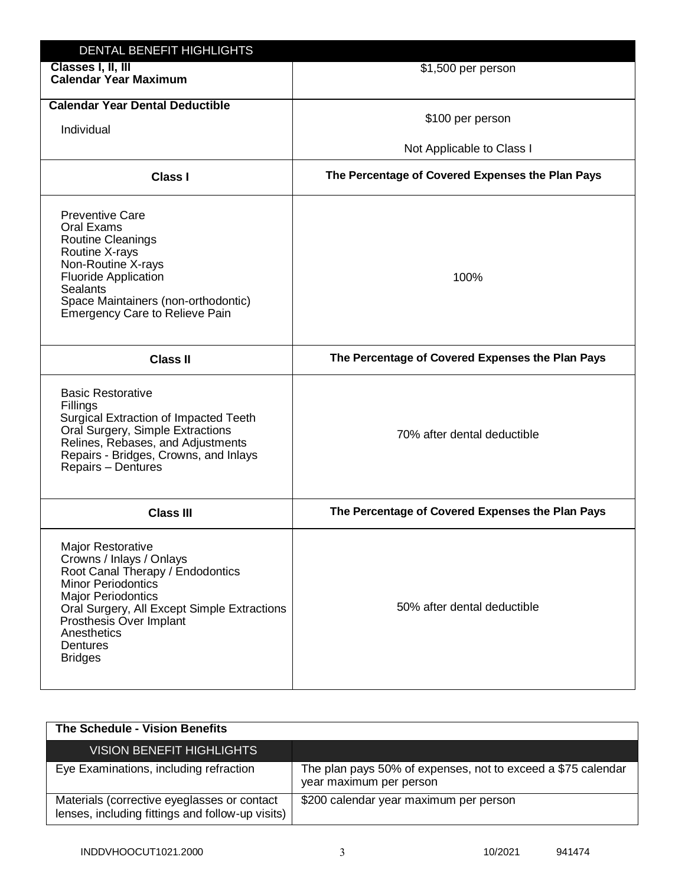| DENTAL BENEFIT HIGHLIGHTS                                                                                                                                                                                                                                          |                                                  |
|--------------------------------------------------------------------------------------------------------------------------------------------------------------------------------------------------------------------------------------------------------------------|--------------------------------------------------|
| Classes I, II, III<br><b>Calendar Year Maximum</b>                                                                                                                                                                                                                 | \$1,500 per person                               |
| <b>Calendar Year Dental Deductible</b>                                                                                                                                                                                                                             | \$100 per person                                 |
| Individual                                                                                                                                                                                                                                                         |                                                  |
|                                                                                                                                                                                                                                                                    | Not Applicable to Class I                        |
| <b>Class I</b>                                                                                                                                                                                                                                                     | The Percentage of Covered Expenses the Plan Pays |
| <b>Preventive Care</b><br>Oral Exams<br><b>Routine Cleanings</b><br>Routine X-rays<br>Non-Routine X-rays<br><b>Fluoride Application</b><br><b>Sealants</b><br>Space Maintainers (non-orthodontic)<br>Emergency Care to Relieve Pain                                | 100%                                             |
| <b>Class II</b>                                                                                                                                                                                                                                                    | The Percentage of Covered Expenses the Plan Pays |
| <b>Basic Restorative</b><br>Fillings<br><b>Surgical Extraction of Impacted Teeth</b><br>Oral Surgery, Simple Extractions<br>Relines, Rebases, and Adjustments<br>Repairs - Bridges, Crowns, and Inlays<br>Repairs - Dentures                                       | 70% after dental deductible                      |
| <b>Class III</b>                                                                                                                                                                                                                                                   | The Percentage of Covered Expenses the Plan Pays |
| Major Restorative<br>Crowns / Inlays / Onlays<br>Root Canal Therapy / Endodontics<br><b>Minor Periodontics</b><br><b>Major Periodontics</b><br>Oral Surgery, All Except Simple Extractions<br>Prosthesis Over Implant<br>Anesthetics<br>Dentures<br><b>Bridges</b> | 50% after dental deductible                      |

| The Schedule - Vision Benefits                                                                  |                                                                                         |
|-------------------------------------------------------------------------------------------------|-----------------------------------------------------------------------------------------|
| <b>VISION BENEFIT HIGHLIGHTS</b>                                                                |                                                                                         |
| Eye Examinations, including refraction                                                          | The plan pays 50% of expenses, not to exceed a \$75 calendar<br>year maximum per person |
| Materials (corrective eyeglasses or contact<br>lenses, including fittings and follow-up visits) | \$200 calendar year maximum per person                                                  |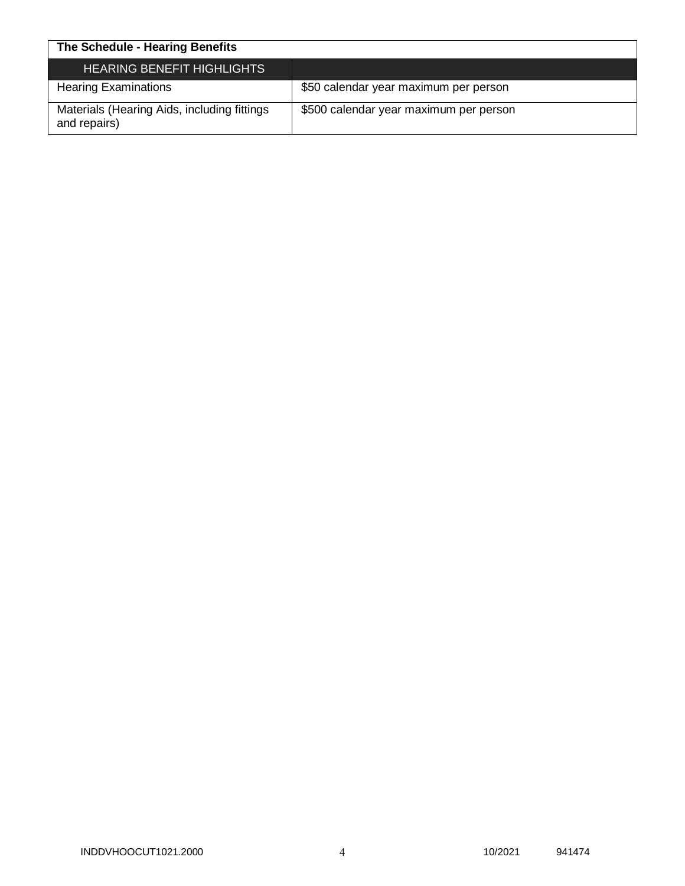| The Schedule - Hearing Benefits                             |                                        |
|-------------------------------------------------------------|----------------------------------------|
| <b>HEARING BENEFIT HIGHLIGHTS</b>                           |                                        |
| <b>Hearing Examinations</b>                                 | \$50 calendar year maximum per person  |
| Materials (Hearing Aids, including fittings<br>and repairs) | \$500 calendar year maximum per person |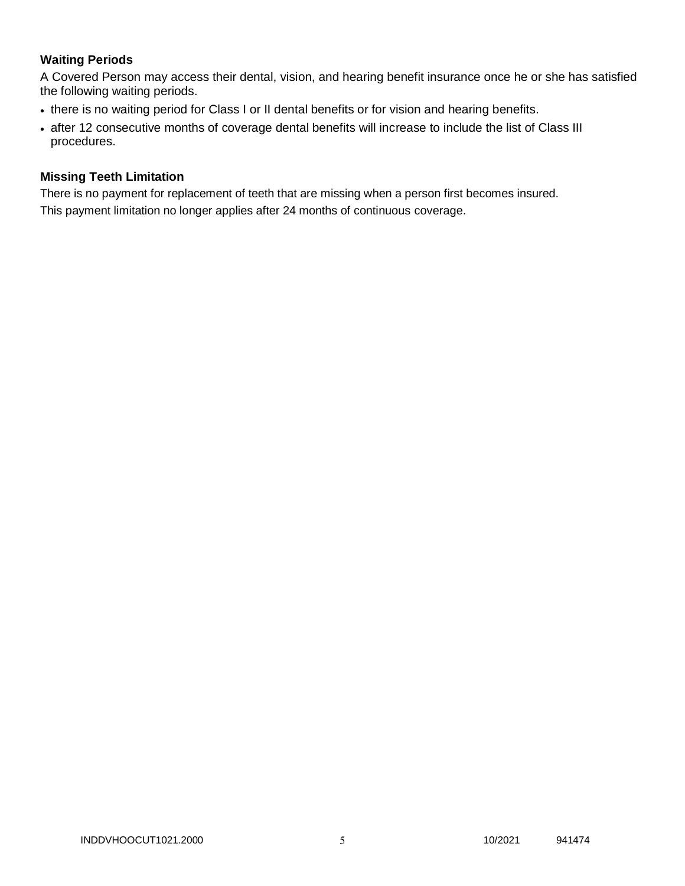# **Waiting Periods**

A Covered Person may access their dental, vision, and hearing benefit insurance once he or she has satisfied the following waiting periods.

- there is no waiting period for Class I or II dental benefits or for vision and hearing benefits.
- after 12 consecutive months of coverage dental benefits will increase to include the list of Class III procedures.

## **Missing Teeth Limitation**

There is no payment for replacement of teeth that are missing when a person first becomes insured. This payment limitation no longer applies after 24 months of continuous coverage.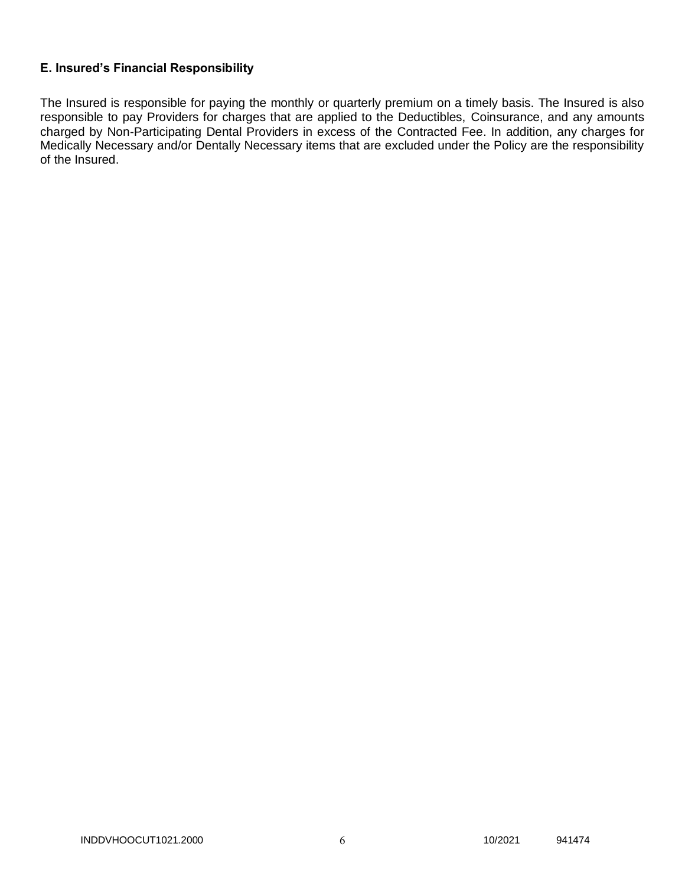## **E. Insured's Financial Responsibility**

The Insured is responsible for paying the monthly or quarterly premium on a timely basis. The Insured is also responsible to pay Providers for charges that are applied to the Deductibles, Coinsurance, and any amounts charged by Non-Participating Dental Providers in excess of the Contracted Fee. In addition, any charges for Medically Necessary and/or Dentally Necessary items that are excluded under the Policy are the responsibility of the Insured.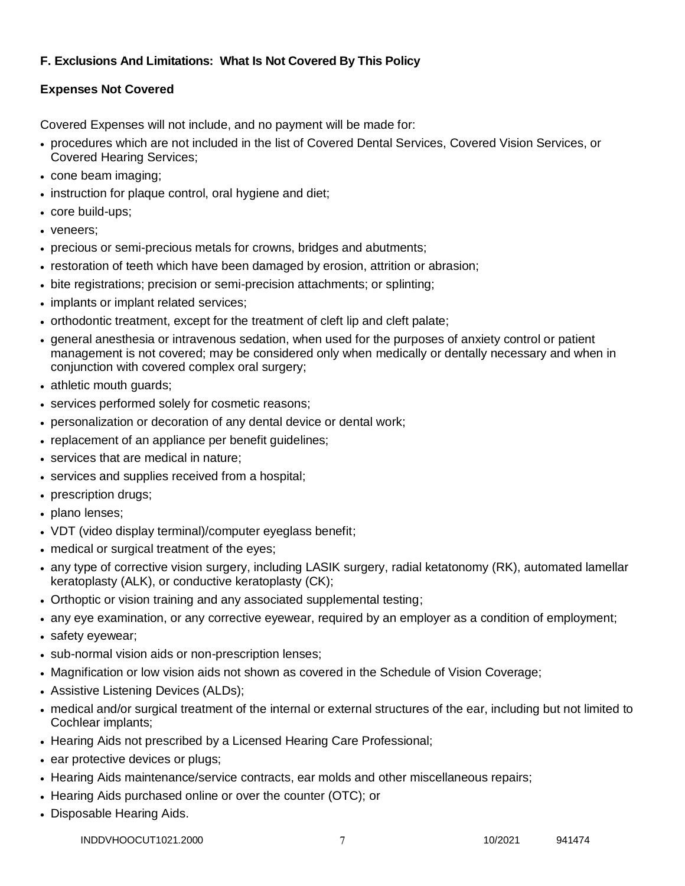# **F. Exclusions And Limitations: What Is Not Covered By This Policy**

# **Expenses Not Covered**

Covered Expenses will not include, and no payment will be made for:

- procedures which are not included in the list of Covered Dental Services, Covered Vision Services, or Covered Hearing Services;
- cone beam imaging;
- instruction for plaque control, oral hygiene and diet;
- core build-ups;
- veneers:
- precious or semi-precious metals for crowns, bridges and abutments;
- restoration of teeth which have been damaged by erosion, attrition or abrasion;
- bite registrations; precision or semi-precision attachments; or splinting;
- implants or implant related services;
- orthodontic treatment, except for the treatment of cleft lip and cleft palate;
- general anesthesia or intravenous sedation, when used for the purposes of anxiety control or patient management is not covered; may be considered only when medically or dentally necessary and when in conjunction with covered complex oral surgery;
- athletic mouth guards;
- services performed solely for cosmetic reasons;
- personalization or decoration of any dental device or dental work;
- replacement of an appliance per benefit quidelines;
- services that are medical in nature:
- services and supplies received from a hospital;
- prescription drugs;
- plano lenses;
- VDT (video display terminal)/computer eyeglass benefit;
- medical or surgical treatment of the eyes;
- any type of corrective vision surgery, including LASIK surgery, radial ketatonomy (RK), automated lamellar keratoplasty (ALK), or conductive keratoplasty (CK);
- Orthoptic or vision training and any associated supplemental testing;
- any eye examination, or any corrective eyewear, required by an employer as a condition of employment;
- safety eyewear;
- sub-normal vision aids or non-prescription lenses;
- Magnification or low vision aids not shown as covered in the Schedule of Vision Coverage;
- Assistive Listening Devices (ALDs);
- medical and/or surgical treatment of the internal or external structures of the ear, including but not limited to Cochlear implants;
- Hearing Aids not prescribed by a Licensed Hearing Care Professional;
- ear protective devices or plugs;
- Hearing Aids maintenance/service contracts, ear molds and other miscellaneous repairs;
- Hearing Aids purchased online or over the counter (OTC); or
- Disposable Hearing Aids.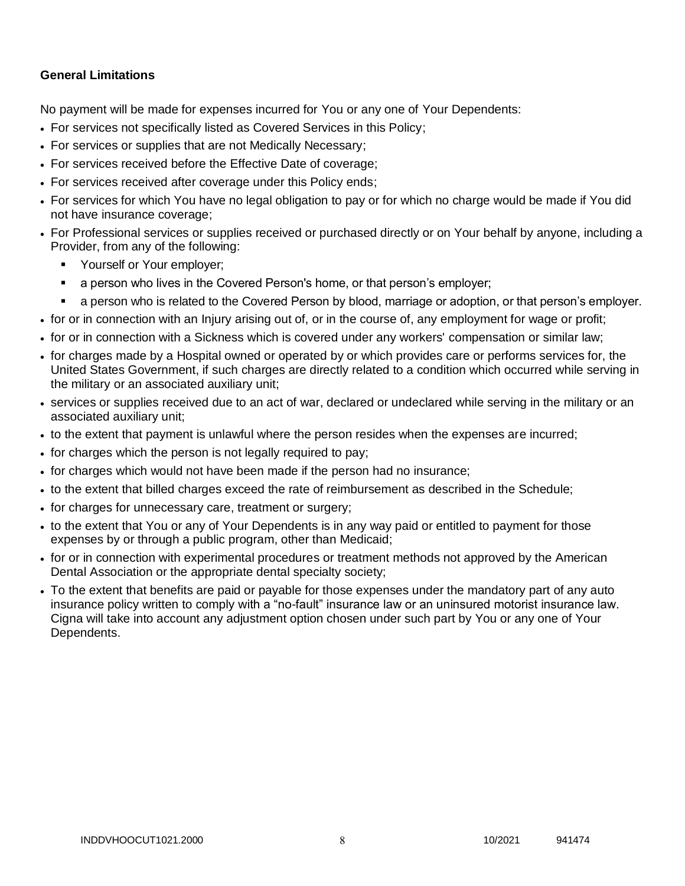# **General Limitations**

No payment will be made for expenses incurred for You or any one of Your Dependents:

- For services not specifically listed as Covered Services in this Policy;
- For services or supplies that are not Medically Necessary;
- For services received before the Effective Date of coverage;
- For services received after coverage under this Policy ends;
- For services for which You have no legal obligation to pay or for which no charge would be made if You did not have insurance coverage;
- For Professional services or supplies received or purchased directly or on Your behalf by anyone, including a Provider, from any of the following:
	- **Yourself or Your employer;**
	- a person who lives in the Covered Person's home, or that person's employer;
	- a person who is related to the Covered Person by blood, marriage or adoption, or that person's employer.
- for or in connection with an Injury arising out of, or in the course of, any employment for wage or profit;
- for or in connection with a Sickness which is covered under any workers' compensation or similar law;
- for charges made by a Hospital owned or operated by or which provides care or performs services for, the United States Government, if such charges are directly related to a condition which occurred while serving in the military or an associated auxiliary unit;
- services or supplies received due to an act of war, declared or undeclared while serving in the military or an associated auxiliary unit;
- to the extent that payment is unlawful where the person resides when the expenses are incurred;
- for charges which the person is not legally required to pay;
- for charges which would not have been made if the person had no insurance;
- to the extent that billed charges exceed the rate of reimbursement as described in the Schedule;
- for charges for unnecessary care, treatment or surgery;
- to the extent that You or any of Your Dependents is in any way paid or entitled to payment for those expenses by or through a public program, other than Medicaid;
- for or in connection with experimental procedures or treatment methods not approved by the American Dental Association or the appropriate dental specialty society;
- To the extent that benefits are paid or payable for those expenses under the mandatory part of any auto insurance policy written to comply with a "no-fault" insurance law or an uninsured motorist insurance law. Cigna will take into account any adjustment option chosen under such part by You or any one of Your Dependents.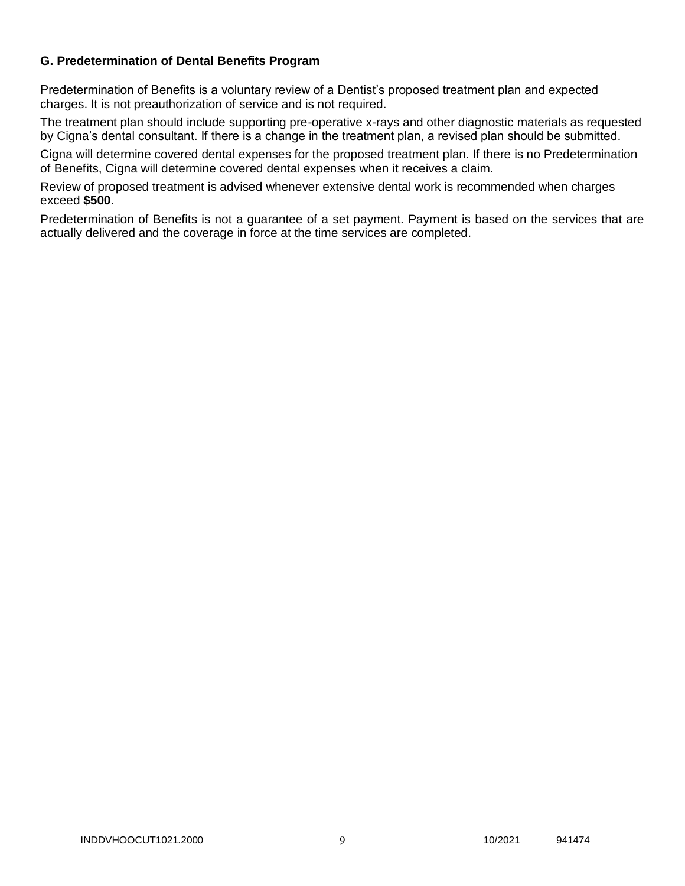## **G. Predetermination of Dental Benefits Program**

Predetermination of Benefits is a voluntary review of a Dentist's proposed treatment plan and expected charges. It is not preauthorization of service and is not required.

The treatment plan should include supporting pre-operative x-rays and other diagnostic materials as requested by Cigna's dental consultant. If there is a change in the treatment plan, a revised plan should be submitted.

Cigna will determine covered dental expenses for the proposed treatment plan. If there is no Predetermination of Benefits, Cigna will determine covered dental expenses when it receives a claim.

Review of proposed treatment is advised whenever extensive dental work is recommended when charges exceed **\$500**.

Predetermination of Benefits is not a guarantee of a set payment. Payment is based on the services that are actually delivered and the coverage in force at the time services are completed.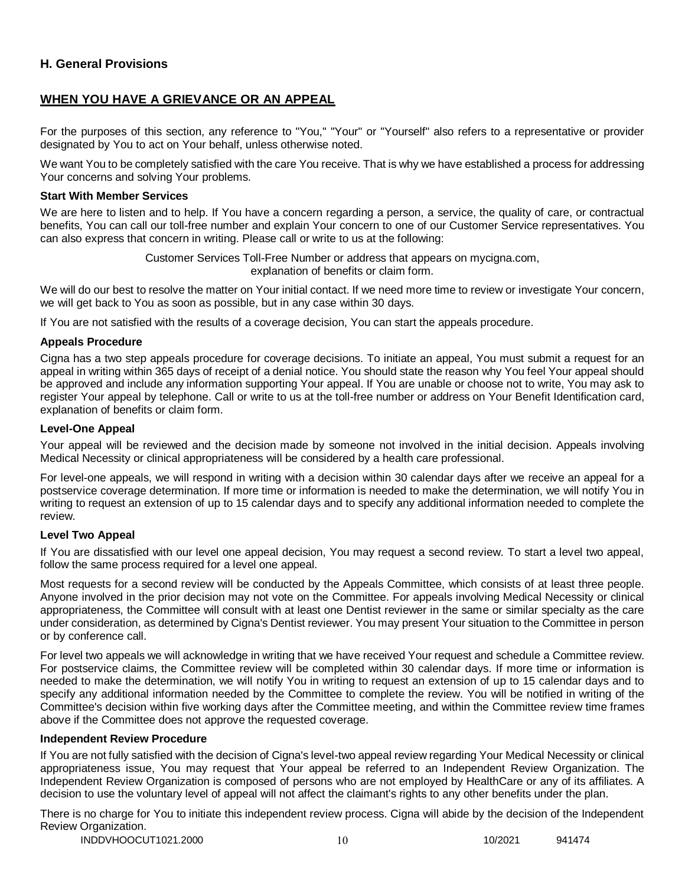## **H. General Provisions**

## **WHEN YOU HAVE A GRIEVANCE OR AN APPEAL**

For the purposes of this section, any reference to "You," "Your" or "Yourself" also refers to a representative or provider designated by You to act on Your behalf, unless otherwise noted.

We want You to be completely satisfied with the care You receive. That is why we have established a process for addressing Your concerns and solving Your problems.

#### **Start With Member Services**

We are here to listen and to help. If You have a concern regarding a person, a service, the quality of care, or contractual benefits, You can call our toll-free number and explain Your concern to one of our Customer Service representatives. You can also express that concern in writing. Please call or write to us at the following:

> Customer Services Toll-Free Number or address that appears on mycigna.com, explanation of benefits or claim form.

We will do our best to resolve the matter on Your initial contact. If we need more time to review or investigate Your concern, we will get back to You as soon as possible, but in any case within 30 days.

If You are not satisfied with the results of a coverage decision, You can start the appeals procedure.

#### **Appeals Procedure**

Cigna has a two step appeals procedure for coverage decisions. To initiate an appeal, You must submit a request for an appeal in writing within 365 days of receipt of a denial notice. You should state the reason why You feel Your appeal should be approved and include any information supporting Your appeal. If You are unable or choose not to write, You may ask to register Your appeal by telephone. Call or write to us at the toll-free number or address on Your Benefit Identification card, explanation of benefits or claim form.

#### **Level-One Appeal**

Your appeal will be reviewed and the decision made by someone not involved in the initial decision. Appeals involving Medical Necessity or clinical appropriateness will be considered by a health care professional.

For level-one appeals, we will respond in writing with a decision within 30 calendar days after we receive an appeal for a postservice coverage determination. If more time or information is needed to make the determination, we will notify You in writing to request an extension of up to 15 calendar days and to specify any additional information needed to complete the review.

#### **Level Two Appeal**

If You are dissatisfied with our level one appeal decision, You may request a second review. To start a level two appeal, follow the same process required for a level one appeal.

Most requests for a second review will be conducted by the Appeals Committee, which consists of at least three people. Anyone involved in the prior decision may not vote on the Committee. For appeals involving Medical Necessity or clinical appropriateness, the Committee will consult with at least one Dentist reviewer in the same or similar specialty as the care under consideration, as determined by Cigna's Dentist reviewer. You may present Your situation to the Committee in person or by conference call.

For level two appeals we will acknowledge in writing that we have received Your request and schedule a Committee review. For postservice claims, the Committee review will be completed within 30 calendar days. If more time or information is needed to make the determination, we will notify You in writing to request an extension of up to 15 calendar days and to specify any additional information needed by the Committee to complete the review. You will be notified in writing of the Committee's decision within five working days after the Committee meeting, and within the Committee review time frames above if the Committee does not approve the requested coverage.

## **Independent Review Procedure**

If You are not fully satisfied with the decision of Cigna's level-two appeal review regarding Your Medical Necessity or clinical appropriateness issue, You may request that Your appeal be referred to an Independent Review Organization. The Independent Review Organization is composed of persons who are not employed by HealthCare or any of its affiliates. A decision to use the voluntary level of appeal will not affect the claimant's rights to any other benefits under the plan.

There is no charge for You to initiate this independent review process. Cigna will abide by the decision of the Independent Review Organization.

INDDVHOOCUT1021.2000 10 10 10 10 10/2021 941474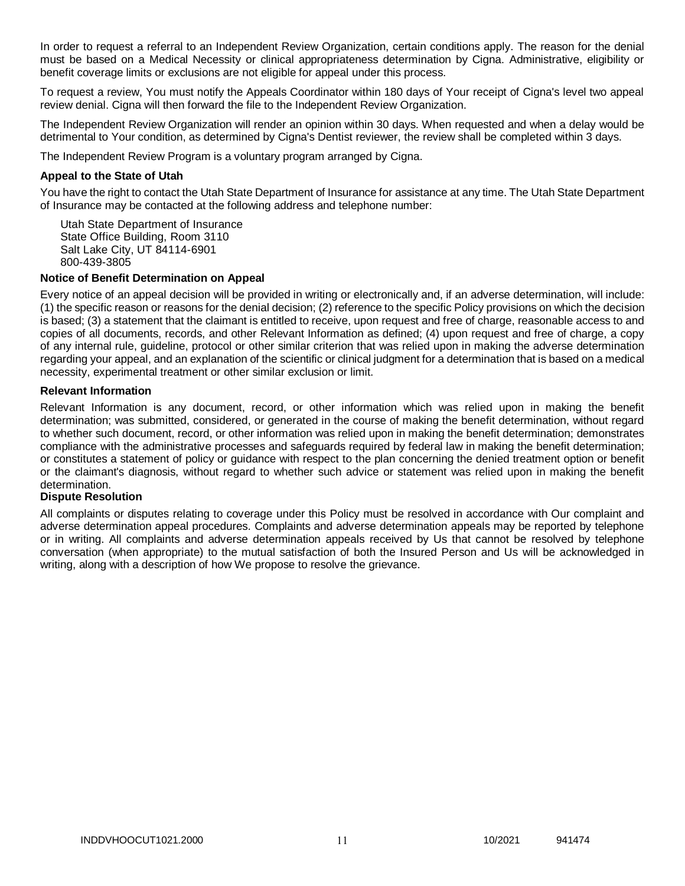In order to request a referral to an Independent Review Organization, certain conditions apply. The reason for the denial must be based on a Medical Necessity or clinical appropriateness determination by Cigna. Administrative, eligibility or benefit coverage limits or exclusions are not eligible for appeal under this process.

To request a review, You must notify the Appeals Coordinator within 180 days of Your receipt of Cigna's level two appeal review denial. Cigna will then forward the file to the Independent Review Organization.

The Independent Review Organization will render an opinion within 30 days. When requested and when a delay would be detrimental to Your condition, as determined by Cigna's Dentist reviewer, the review shall be completed within 3 days.

The Independent Review Program is a voluntary program arranged by Cigna.

#### **Appeal to the State of Utah**

You have the right to contact the Utah State Department of Insurance for assistance at any time. The Utah State Department of Insurance may be contacted at the following address and telephone number:

Utah State Department of Insurance State Office Building, Room 3110 Salt Lake City, UT 84114-6901 800-439-3805

#### **Notice of Benefit Determination on Appeal**

Every notice of an appeal decision will be provided in writing or electronically and, if an adverse determination, will include: (1) the specific reason or reasons for the denial decision; (2) reference to the specific Policy provisions on which the decision is based; (3) a statement that the claimant is entitled to receive, upon request and free of charge, reasonable access to and copies of all documents, records, and other Relevant Information as defined; (4) upon request and free of charge, a copy of any internal rule, guideline, protocol or other similar criterion that was relied upon in making the adverse determination regarding your appeal, and an explanation of the scientific or clinical judgment for a determination that is based on a medical necessity, experimental treatment or other similar exclusion or limit.

## **Relevant Information**

Relevant Information is any document, record, or other information which was relied upon in making the benefit determination; was submitted, considered, or generated in the course of making the benefit determination, without regard to whether such document, record, or other information was relied upon in making the benefit determination; demonstrates compliance with the administrative processes and safeguards required by federal law in making the benefit determination; or constitutes a statement of policy or guidance with respect to the plan concerning the denied treatment option or benefit or the claimant's diagnosis, without regard to whether such advice or statement was relied upon in making the benefit determination.

#### **Dispute Resolution**

All complaints or disputes relating to coverage under this Policy must be resolved in accordance with Our complaint and adverse determination appeal procedures. Complaints and adverse determination appeals may be reported by telephone or in writing. All complaints and adverse determination appeals received by Us that cannot be resolved by telephone conversation (when appropriate) to the mutual satisfaction of both the Insured Person and Us will be acknowledged in writing, along with a description of how We propose to resolve the grievance.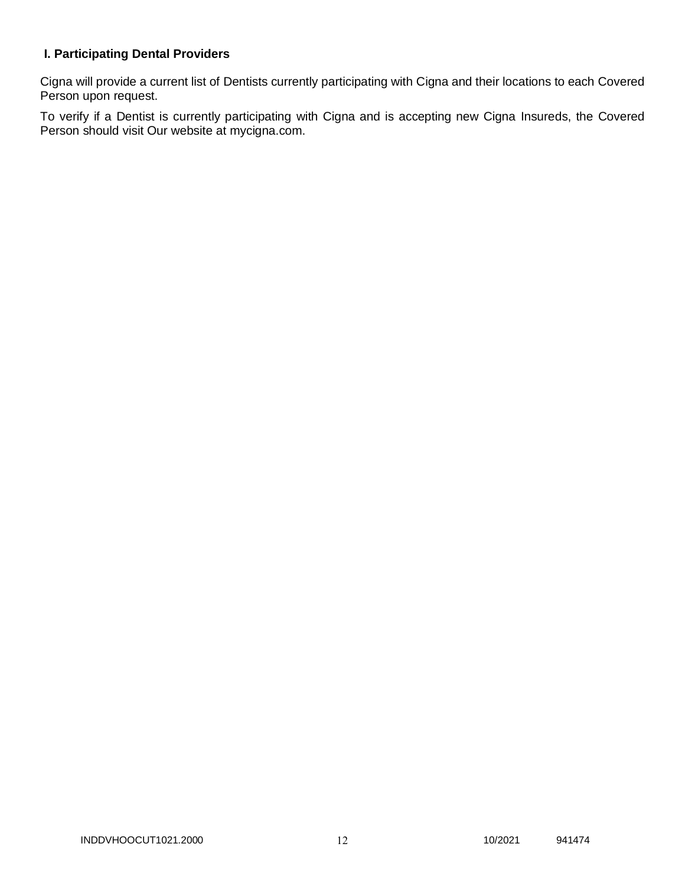# **I. Participating Dental Providers**

Cigna will provide a current list of Dentists currently participating with Cigna and their locations to each Covered Person upon request.

To verify if a Dentist is currently participating with Cigna and is accepting new Cigna Insureds, the Covered Person should visit Our website at mycigna.com.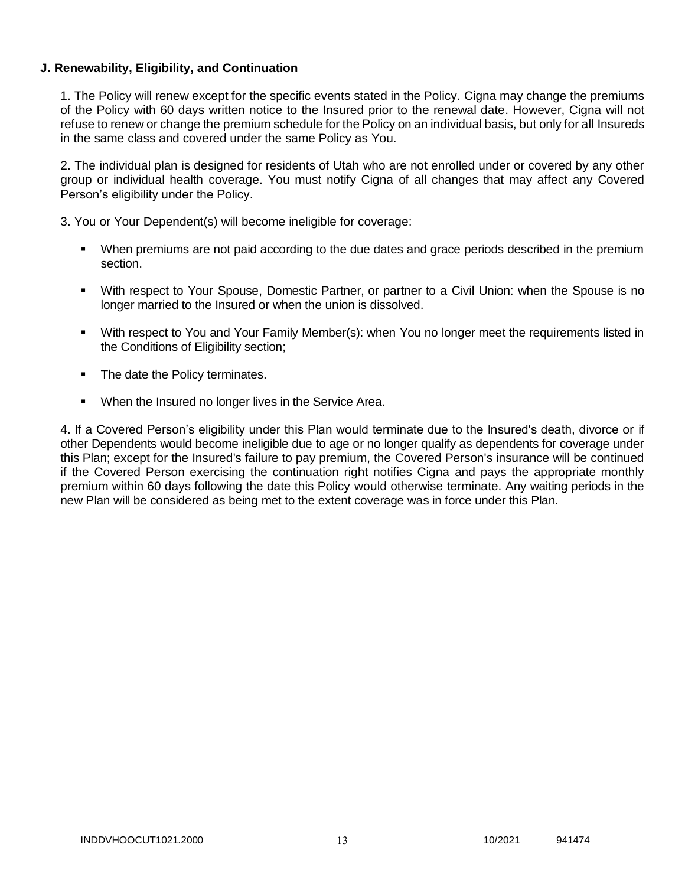## **J. Renewability, Eligibility, and Continuation**

1. The Policy will renew except for the specific events stated in the Policy. Cigna may change the premiums of the Policy with 60 days written notice to the Insured prior to the renewal date. However, Cigna will not refuse to renew or change the premium schedule for the Policy on an individual basis, but only for all Insureds in the same class and covered under the same Policy as You.

2. The individual plan is designed for residents of Utah who are not enrolled under or covered by any other group or individual health coverage. You must notify Cigna of all changes that may affect any Covered Person's eligibility under the Policy.

3. You or Your Dependent(s) will become ineligible for coverage:

- When premiums are not paid according to the due dates and grace periods described in the premium section.
- With respect to Your Spouse, Domestic Partner, or partner to a Civil Union: when the Spouse is no longer married to the Insured or when the union is dissolved.
- With respect to You and Your Family Member(s): when You no longer meet the requirements listed in the Conditions of Eligibility section;
- The date the Policy terminates.
- **When the Insured no longer lives in the Service Area.**

4. If a Covered Person's eligibility under this Plan would terminate due to the Insured's death, divorce or if other Dependents would become ineligible due to age or no longer qualify as dependents for coverage under this Plan; except for the Insured's failure to pay premium, the Covered Person's insurance will be continued if the Covered Person exercising the continuation right notifies Cigna and pays the appropriate monthly premium within 60 days following the date this Policy would otherwise terminate. Any waiting periods in the new Plan will be considered as being met to the extent coverage was in force under this Plan.